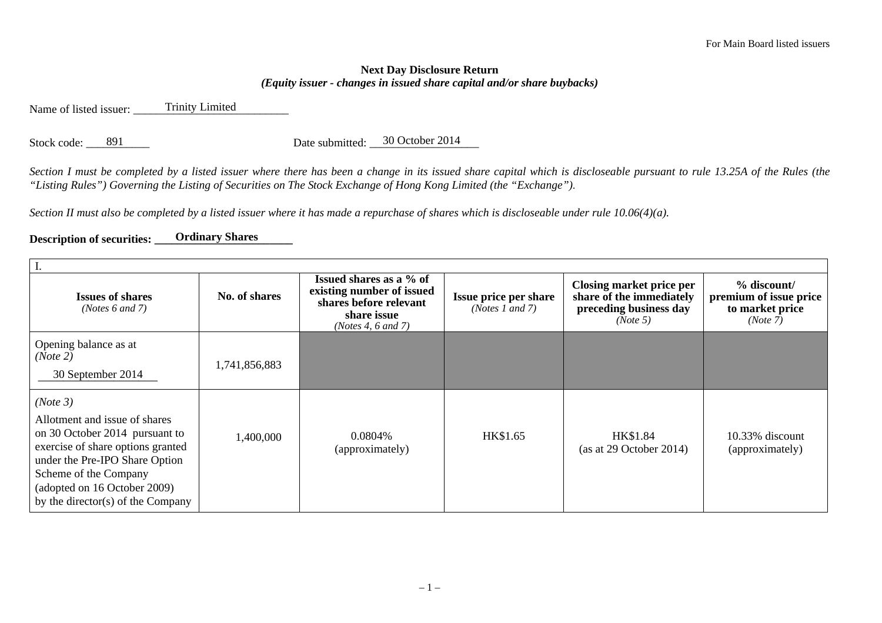## **Next Day Disclosure Return**  *(Equity issuer - changes in issued share capital and/or share buybacks)*

Name of listed issuer: Trinity Limited

Stock code: \_\_\_\_\_\_\_\_\_\_\_ Da 891 30 October 2014 te submitted: \_\_\_\_\_\_\_\_\_\_\_\_\_\_\_\_\_\_\_

*Section I must be completed by a listed issuer where there has been a change in its issued share capital which is discloseable pursuant to rule 13.25A of the Rules (the "Listing Rules") Governing the Listing of Securities on The Stock Exchange of Hong Kong Limited (the "Exchange").* 

*Section II must also be completed by a listed issuer where it has made a repurchase of shares which is discloseable under rule 10.06(4)(a).* 

## **Description of securities: \_\_\_\_\_\_\_\_\_\_ Ordinary Shares \_\_\_\_\_\_\_\_\_\_\_\_\_\_**

| <b>Issues of shares</b><br>( <i>Notes</i> $6$ and $7$ )                                                                                                                                                                                          | No. of shares | Issued shares as a % of<br>existing number of issued<br>shares before relevant<br>share issue<br>(Notes 4, $6$ and $7$ ) | Issue price per share<br>(Notes 1 and 7) | <b>Closing market price per</b><br>share of the immediately<br>preceding business day<br>(Note 5) | $%$ discount/<br>premium of issue price<br>to market price<br>(Note 7) |  |  |
|--------------------------------------------------------------------------------------------------------------------------------------------------------------------------------------------------------------------------------------------------|---------------|--------------------------------------------------------------------------------------------------------------------------|------------------------------------------|---------------------------------------------------------------------------------------------------|------------------------------------------------------------------------|--|--|
| Opening balance as at<br>(Note 2)<br>30 September 2014                                                                                                                                                                                           | 1,741,856,883 |                                                                                                                          |                                          |                                                                                                   |                                                                        |  |  |
| (Note 3)<br>Allotment and issue of shares<br>on 30 October 2014 pursuant to<br>exercise of share options granted<br>under the Pre-IPO Share Option<br>Scheme of the Company<br>(adopted on 16 October 2009)<br>by the director(s) of the Company | 1,400,000     | 0.0804%<br>(approximately)                                                                                               | HK\$1.65                                 | HK\$1.84<br>(as at 29 October 2014)                                                               | $10.33\%$ discount<br>(approximately)                                  |  |  |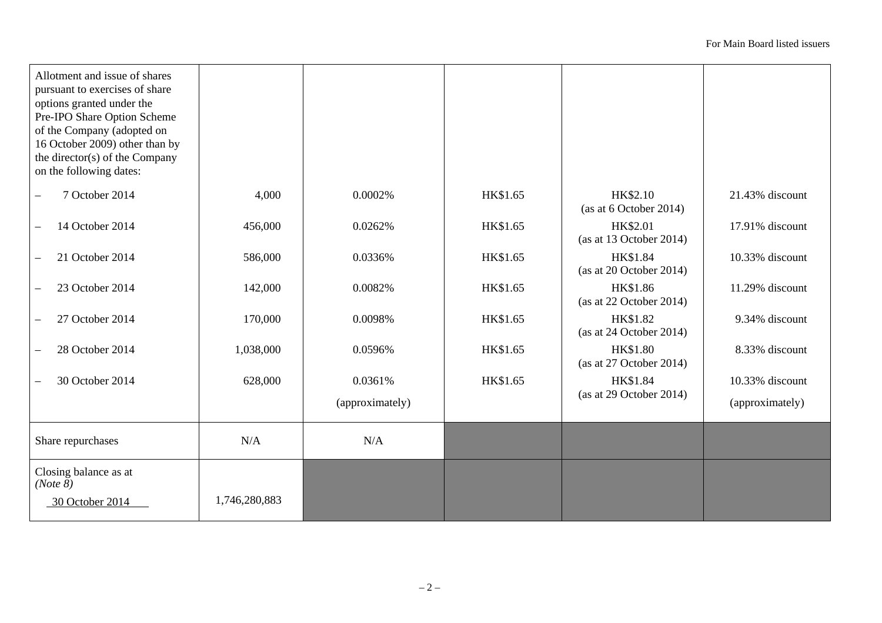| Allotment and issue of shares<br>pursuant to exercises of share<br>options granted under the<br>Pre-IPO Share Option Scheme<br>of the Company (adopted on<br>16 October 2009) other than by<br>the director(s) of the Company<br>on the following dates: |               |                 |          |                                              |                 |
|----------------------------------------------------------------------------------------------------------------------------------------------------------------------------------------------------------------------------------------------------------|---------------|-----------------|----------|----------------------------------------------|-----------------|
| 7 October 2014<br>$\overline{\phantom{0}}$                                                                                                                                                                                                               | 4,000         | 0.0002%         | HK\$1.65 | HK\$2.10<br>(as at 6 October 2014)           | 21.43% discount |
| 14 October 2014                                                                                                                                                                                                                                          | 456,000       | 0.0262%         | HK\$1.65 | HK\$2.01<br>(as at 13 October 2014)          | 17.91% discount |
| 21 October 2014                                                                                                                                                                                                                                          | 586,000       | 0.0336%         | HK\$1.65 | <b>HK\$1.84</b><br>(as at 20 October 2014)   | 10.33% discount |
| 23 October 2014                                                                                                                                                                                                                                          | 142,000       | 0.0082%         | HK\$1.65 | HK\$1.86<br>(as at 22 October 2014)          | 11.29% discount |
| 27 October 2014                                                                                                                                                                                                                                          | 170,000       | 0.0098%         | HK\$1.65 | HK\$1.82<br>(as at $24$ October 2014)        | 9.34% discount  |
| 28 October 2014                                                                                                                                                                                                                                          | 1,038,000     | 0.0596%         | HK\$1.65 | <b>HK\$1.80</b><br>(as at $27$ October 2014) | 8.33% discount  |
| 30 October 2014                                                                                                                                                                                                                                          | 628,000       | 0.0361%         | HK\$1.65 | HK\$1.84                                     | 10.33% discount |
|                                                                                                                                                                                                                                                          |               | (approximately) |          | (as at 29 October 2014)                      | (approximately) |
| Share repurchases                                                                                                                                                                                                                                        | N/A           | N/A             |          |                                              |                 |
| Closing balance as at<br>(Note 8)                                                                                                                                                                                                                        |               |                 |          |                                              |                 |
| 30 October 2014                                                                                                                                                                                                                                          | 1,746,280,883 |                 |          |                                              |                 |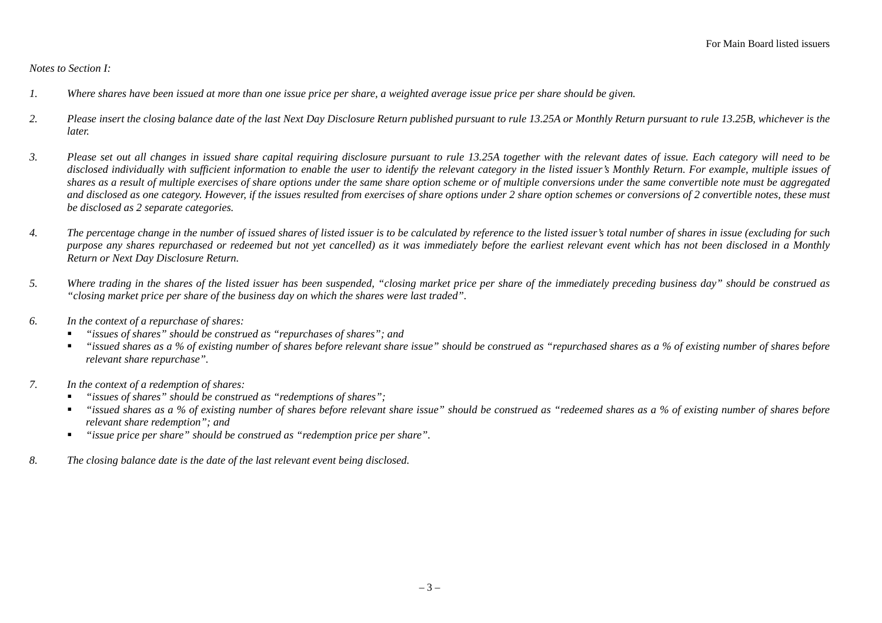## *Notes to Section I:*

- *1. Where shares have been issued at more than one issue price per share, a weighted average issue price per share should be given.*
- *2. Please insert the closing balance date of the last Next Day Disclosure Return published pursuant to rule 13.25A or Monthly Return pursuant to rule 13.25B, whichever is the later.*
- *3. Please set out all changes in issued share capital requiring disclosure pursuant to rule 13.25A together with the relevant dates of issue. Each category will need to be disclosed individually with sufficient information to enable the user to identify the relevant category in the listed issuer's Monthly Return. For example, multiple issues of shares as a result of multiple exercises of share options under the same share option scheme or of multiple conversions under the same convertible note must be aggregated and disclosed as one category. However, if the issues resulted from exercises of share options under 2 share option schemes or conversions of 2 convertible notes, these must be disclosed as 2 separate categories.*
- *4. The percentage change in the number of issued shares of listed issuer is to be calculated by reference to the listed issuer's total number of shares in issue (excluding for such purpose any shares repurchased or redeemed but not yet cancelled) as it was immediately before the earliest relevant event which has not been disclosed in a Monthly Return or Next Day Disclosure Return.*
- *5. Where trading in the shares of the listed issuer has been suspended, "closing market price per share of the immediately preceding business day" should be construed as "closing market price per share of the business day on which the shares were last traded".*
- *6. In the context of a repurchase of shares:* 
	- п *"issues of shares" should be construed as "repurchases of shares"; and*
	- $\blacksquare$  *"issued shares as a % of existing number of shares before relevant share issue" should be construed as "repurchased shares as a % of existing number of shares before relevant share repurchase".*
- *7. In the context of a redemption of shares:* 
	- п *"issues of shares" should be construed as "redemptions of shares";*
	- $\blacksquare$  *"issued shares as a % of existing number of shares before relevant share issue" should be construed as "redeemed shares as a % of existing number of shares before relevant share redemption"; and*
	- $\blacksquare$ *"issue price per share" should be construed as "redemption price per share".*
- *8. The closing balance date is the date of the last relevant event being disclosed.*